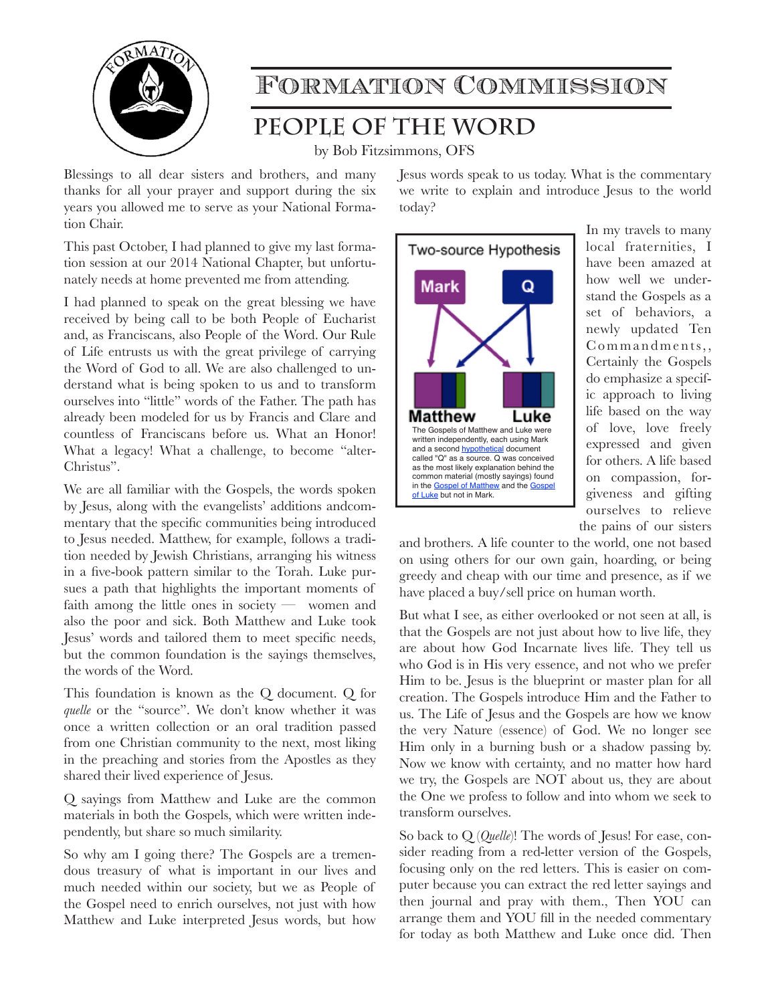

## Formation Commission

## **People of the Word**

by Bob Fitzsimmons, OFS

Blessings to all dear sisters and brothers, and many thanks for all your prayer and support during the six years you allowed me to serve as your National Formation Chair.

This past October, I had planned to give my last formation session at our 2014 National Chapter, but unfortunately needs at home prevented me from attending.

I had planned to speak on the great blessing we have received by being call to be both People of Eucharist and, as Franciscans, also People of the Word. Our Rule of Life entrusts us with the great privilege of carrying the Word of God to all. We are also challenged to understand what is being spoken to us and to transform ourselves into "little" words of the Father. The path has already been modeled for us by Francis and Clare and countless of Franciscans before us. What an Honor! What a legacy! What a challenge, to become "alter-Christus".

We are all familiar with the Gospels, the words spoken by Jesus, along with the evangelists' additions andcommentary that the specific communities being introduced to Jesus needed. Matthew, for example, follows a tradition needed by Jewish Christians, arranging his witness in a five-book pattern similar to the Torah. Luke pursues a path that highlights the important moments of faith among the little ones in society — women and also the poor and sick. Both Matthew and Luke took Jesus' words and tailored them to meet specific needs, but the common foundation is the sayings themselves, the words of the Word.

This foundation is known as the Q document. Q for *quelle* or the "source". We don't know whether it was once a written collection or an oral tradition passed from one Christian community to the next, most liking in the preaching and stories from the Apostles as they shared their lived experience of Jesus.

Q sayings from Matthew and Luke are the common materials in both the Gospels, which were written independently, but share so much similarity.

So why am I going there? The Gospels are a tremendous treasury of what is important in our lives and much needed within our society, but we as People of the Gospel need to enrich ourselves, not just with how Matthew and Luke interpreted Jesus words, but how Jesus words speak to us today. What is the commentary we write to explain and introduce Jesus to the world today?



In my travels to many local fraternities, I have been amazed at how well we understand the Gospels as a set of behaviors, a newly updated Ten Commandments,, Certainly the Gospels do emphasize a specific approach to living life based on the way of love, love freely expressed and given for others. A life based on compassion, forgiveness and gifting ourselves to relieve the pains of our sisters

and brothers. A life counter to the world, one not based on using others for our own gain, hoarding, or being greedy and cheap with our time and presence, as if we have placed a buy/sell price on human worth.

But what I see, as either overlooked or not seen at all, is that the Gospels are not just about how to live life, they are about how God Incarnate lives life. They tell us who God is in His very essence, and not who we prefer Him to be. Jesus is the blueprint or master plan for all creation. The Gospels introduce Him and the Father to us. The Life of Jesus and the Gospels are how we know the very Nature (essence) of God. We no longer see Him only in a burning bush or a shadow passing by. Now we know with certainty, and no matter how hard we try, the Gospels are NOT about us, they are about the One we profess to follow and into whom we seek to transform ourselves.

So back to Q (*Quelle*)! The words of Jesus! For ease, consider reading from a red-letter version of the Gospels, focusing only on the red letters. This is easier on computer because you can extract the red letter sayings and then journal and pray with them., Then YOU can arrange them and YOU fill in the needed commentary for today as both Matthew and Luke once did. Then